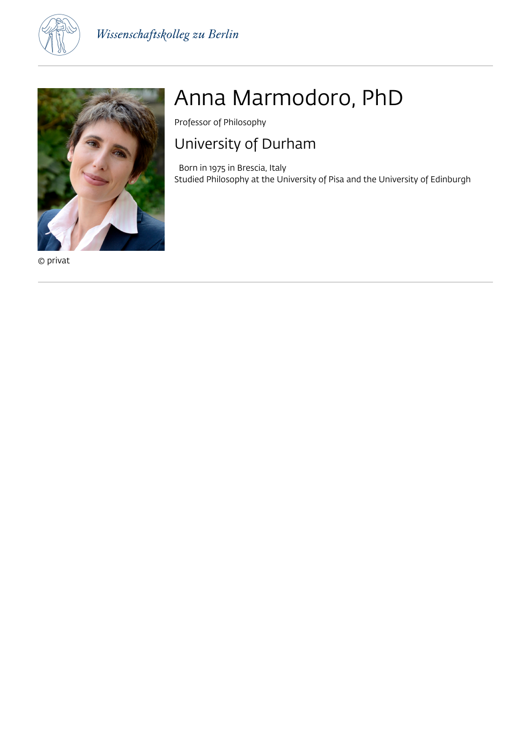



© privat

# Anna Marmodoro, PhD

Professor of Philosophy

## University of Durham

 Born in 1975 in Brescia, Italy Studied Philosophy at the University of Pisa and the University of Edinburgh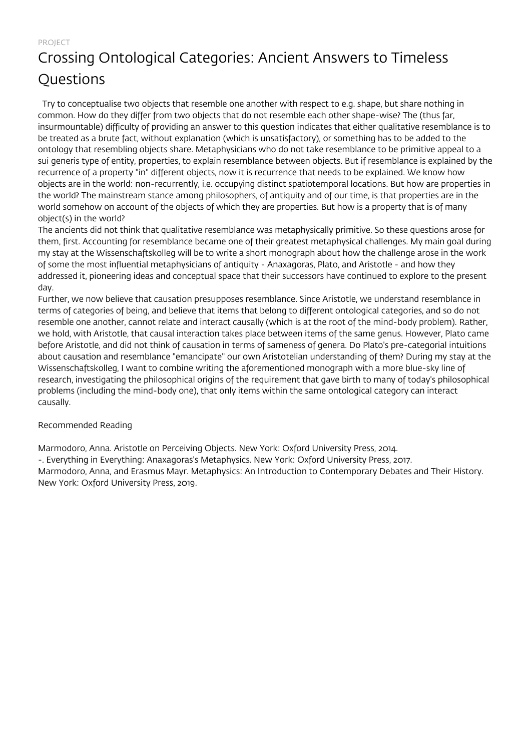# Crossing Ontological Categories: Ancient Answers to Timeless Questions

 Try to conceptualise two objects that resemble one another with respect to e.g. shape, but share nothing in common. How do they differ from two objects that do not resemble each other shape-wise? The (thus far, insurmountable) difficulty of providing an answer to this question indicates that either qualitative resemblance is to be treated as a brute fact, without explanation (which is unsatisfactory), or something has to be added to the ontology that resembling objects share. Metaphysicians who do not take resemblance to be primitive appeal to a sui generis type of entity, properties, to explain resemblance between objects. But if resemblance is explained by the recurrence of a property "in" different objects, now it is recurrence that needs to be explained. We know how objects are in the world: non-recurrently, i.e. occupying distinct spatiotemporal locations. But how are properties in the world? The mainstream stance among philosophers, of antiquity and of our time, is that properties are in the world somehow on account of the objects of which they are properties. But how is a property that is of many object(s) in the world?

The ancients did not think that qualitative resemblance was metaphysically primitive. So these questions arose for them, first. Accounting for resemblance became one of their greatest metaphysical challenges. My main goal during my stay at the Wissenschaftskolleg will be to write a short monograph about how the challenge arose in the work of some the most influential metaphysicians of antiquity - Anaxagoras, Plato, and Aristotle - and how they addressed it, pioneering ideas and conceptual space that their successors have continued to explore to the present day.

Further, we now believe that causation presupposes resemblance. Since Aristotle, we understand resemblance in terms of categories of being, and believe that items that belong to different ontological categories, and so do not resemble one another, cannot relate and interact causally (which is at the root of the mind-body problem). Rather, we hold, with Aristotle, that causal interaction takes place between items of the same genus. However, Plato came before Aristotle, and did not think of causation in terms of sameness of genera. Do Plato's pre-categorial intuitions about causation and resemblance "emancipate" our own Aristotelian understanding of them? During my stay at the Wissenschaftskolleg, I want to combine writing the aforementioned monograph with a more blue-sky line of research, investigating the philosophical origins of the requirement that gave birth to many of today's philosophical problems (including the mind-body one), that only items within the same ontological category can interact causally.

### Recommended Reading

Marmodoro, Anna. Aristotle on Perceiving Objects. New York: Oxford University Press, 2014.

-. Everything in Everything: Anaxagoras's Metaphysics. New York: Oxford University Press, 2017.

Marmodoro, Anna, and Erasmus Mayr. Metaphysics: An Introduction to Contemporary Debates and Their History. New York: Oxford University Press, 2019.